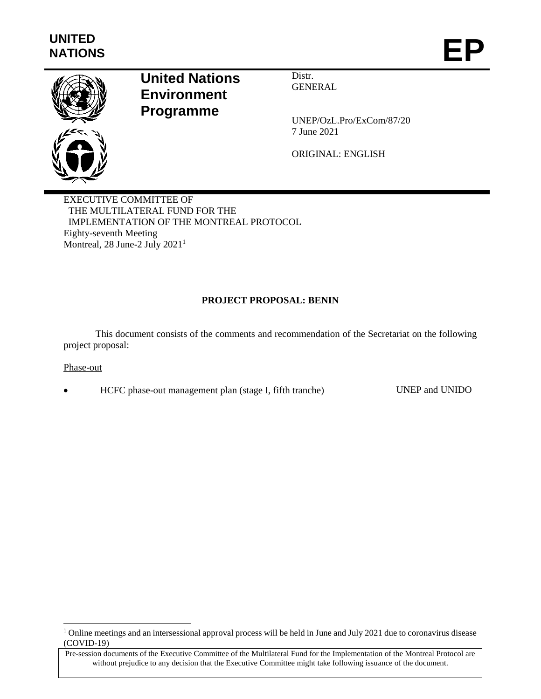

# **United Nations Environment Programme**

Distr. **GENERAL** 

UNEP/OzL.Pro/ExCom/87/20 7 June 2021

ORIGINAL: ENGLISH

EXECUTIVE COMMITTEE OF THE MULTILATERAL FUND FOR THE IMPLEMENTATION OF THE MONTREAL PROTOCOL Eighty-seventh Meeting Montreal, 28 June-2 July 2021<sup>1</sup>

# **PROJECT PROPOSAL: BENIN**

This document consists of the comments and recommendation of the Secretariat on the following project proposal:

#### Phase-out

 $\overline{a}$ 

HCFC phase-out management plan (stage I, fifth tranche) UNEP and UNIDO

<sup>&</sup>lt;sup>1</sup> Online meetings and an intersessional approval process will be held in June and July 2021 due to coronavirus disease (COVID-19)

Pre-session documents of the Executive Committee of the Multilateral Fund for the Implementation of the Montreal Protocol are without prejudice to any decision that the Executive Committee might take following issuance of the document.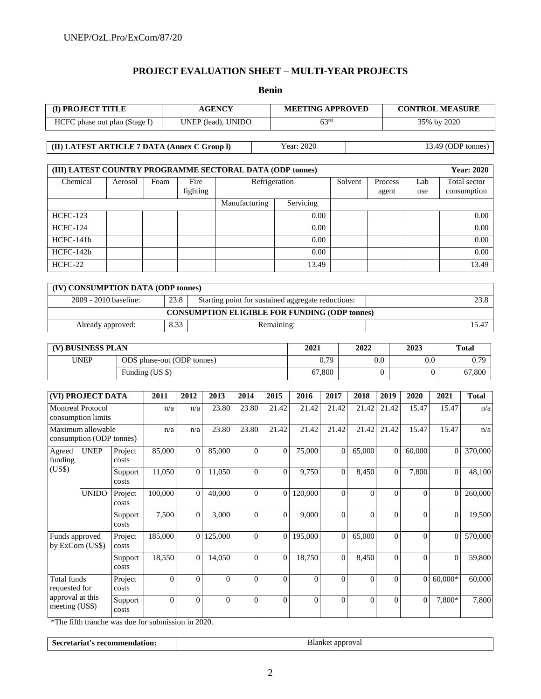## **PROJECT EVALUATION SHEET – MULTI-YEAR PROJECTS**

|                                                     |                             |                                                           |                  |                            |                        |                  | <b>Benin</b>     |                                                      |                             |                  |                    |                        |                             |                   |
|-----------------------------------------------------|-----------------------------|-----------------------------------------------------------|------------------|----------------------------|------------------------|------------------|------------------|------------------------------------------------------|-----------------------------|------------------|--------------------|------------------------|-----------------------------|-------------------|
| (I) PROJECT TITLE<br><b>AGENCY</b>                  |                             |                                                           |                  |                            |                        |                  |                  | <b>MEETING APPROVED</b>                              |                             |                  |                    | <b>CONTROL MEASURE</b> |                             |                   |
| HCFC phase out plan (Stage I)                       |                             |                                                           |                  | UNEP (lead), UNIDO         |                        |                  |                  | 63 <sup>rd</sup>                                     |                             |                  | 35% by 2020        |                        |                             |                   |
|                                                     |                             | (II) LATEST ARTICLE 7 DATA (Annex C Group I)              |                  |                            |                        |                  |                  | Year: 2020                                           |                             |                  |                    |                        | 13.49 (ODP tonnes)          |                   |
|                                                     |                             | (III) LATEST COUNTRY PROGRAMME SECTORAL DATA (ODP tonnes) |                  |                            |                        |                  |                  |                                                      |                             |                  |                    |                        |                             | <b>Year: 2020</b> |
|                                                     | Chemical<br>Foam<br>Aerosol |                                                           | Fire<br>fighting | Refrigeration              |                        |                  |                  |                                                      | Solvent<br>Process<br>agent |                  | Lab<br>use         |                        | Total sector<br>consumption |                   |
|                                                     |                             |                                                           |                  |                            |                        | Manufacturing    |                  | Servicing                                            |                             |                  |                    |                        |                             |                   |
| <b>HCFC-123</b>                                     |                             |                                                           |                  |                            |                        |                  |                  | 0.00                                                 |                             |                  |                    |                        |                             | 0.00              |
| <b>HCFC-124</b>                                     |                             |                                                           |                  |                            |                        |                  |                  | 0.00                                                 |                             |                  |                    |                        |                             | 0.00              |
| HCFC-141b                                           |                             |                                                           |                  |                            |                        |                  |                  | 0.00                                                 |                             |                  |                    |                        |                             | 0.00              |
| HCFC-142b                                           |                             |                                                           |                  |                            |                        |                  |                  | 0.00                                                 |                             |                  |                    |                        |                             | 0.00              |
| HCFC-22                                             |                             |                                                           |                  |                            |                        |                  |                  | 13.49                                                |                             |                  |                    |                        |                             | 13.49             |
|                                                     |                             | (IV) CONSUMPTION DATA (ODP tonnes)                        |                  |                            |                        |                  |                  |                                                      |                             |                  |                    |                        |                             |                   |
|                                                     | 2009 - 2010 baseline:       |                                                           | 23.8             |                            |                        |                  |                  | Starting point for sustained aggregate reductions:   |                             |                  |                    |                        |                             | 23.8              |
|                                                     |                             |                                                           |                  |                            |                        |                  |                  | <b>CONSUMPTION ELIGIBLE FOR FUNDING (ODP tonnes)</b> |                             |                  |                    |                        |                             |                   |
|                                                     | Already approved:           |                                                           | 8.33             |                            |                        |                  | Remaining:       |                                                      |                             |                  |                    |                        |                             | 15.47             |
|                                                     |                             |                                                           |                  |                            |                        |                  |                  | 2021                                                 |                             | 2022             |                    | 2023                   |                             | <b>Total</b>      |
| (V) BUSINESS PLAN<br><b>UNEP</b>                    |                             |                                                           |                  | ODS phase-out (ODP tonnes) |                        |                  |                  |                                                      | 0.79                        |                  | 0.0                |                        | 0.0                         | 0.79              |
|                                                     |                             |                                                           | Funding (US \$)  |                            |                        |                  | 67,800           | $\Omega$                                             |                             |                  | 67,800<br>$\Omega$ |                        |                             |                   |
|                                                     |                             |                                                           |                  |                            |                        |                  |                  |                                                      |                             |                  |                    |                        |                             |                   |
| (VI) PROJECT DATA                                   |                             |                                                           | 2011             | 2012                       | 2013                   | 2014             | 2015             | 2016                                                 | 2017                        | 2018             | 2019               | 2020                   | 2021                        | <b>Total</b>      |
| <b>Montreal Protocol</b><br>consumption limits      |                             |                                                           | n/a              | n/a                        | 23.80                  | 23.80            | 21.42            | 21.42                                                | 21.42                       | 21.42            | 21.42              | 15.47                  | 15.47                       | n/a               |
| Maximum allowable<br>consumption (ODP tonnes)       |                             |                                                           | n/a              | n/a                        | 23.80                  | 23.80            | 21.42            | 21.42                                                | 21.42                       | 21.42            | 21.42              | 15.47                  | 15.47                       | n/a               |
| Agreed<br>funding                                   | <b>UNEP</b>                 | Project<br>costs                                          | 85,000           | $\overline{0}$             | 85,000                 | $\overline{0}$   | $\overline{0}$   | 75,000                                               | $\overline{0}$              | 65,000           | $\overline{0}$     | 60,000                 | $\overline{0}$              | 370,000           |
| (US\$)                                              |                             | Support<br>costs                                          | 11,050           | $\boldsymbol{0}$           | 11,050                 | $\boldsymbol{0}$ | $\boldsymbol{0}$ | 9,750                                                | $\boldsymbol{0}$            | 8,450            | $\boldsymbol{0}$   | 7,800                  | $\boldsymbol{0}$            | 48,100            |
|                                                     | <b>UNIDO</b>                | Project<br>costs                                          | 100,000          | $\overline{0}$             | 40,000                 | $\overline{0}$   | $\Omega$         | 120,000                                              | $\Omega$                    | $\overline{0}$   | $\overline{0}$     | $\Omega$               | $\theta$                    | 260,000           |
|                                                     |                             | Support<br>costs                                          | 7,500            | $\overline{0}$             | 3,000                  | $\overline{0}$   | $\boldsymbol{0}$ | 9,000                                                | $\overline{0}$              | $\overline{0}$   | $\overline{0}$     | $\Omega$               | $\overline{0}$              | 19,500            |
| Funds approved<br>by ExCom (US\$)                   |                             | Project<br>costs                                          | 185,000          |                            | $\overline{0}$ 125,000 | $\theta$         | $\Omega$         | 195,000                                              | $\overline{0}$              | 65,000           | $\overline{0}$     | $\Omega$               | $\Omega$                    | 570,000           |
|                                                     |                             | Support<br>costs                                          | 18,550           | $\boldsymbol{0}$           | 14,050                 | $\overline{0}$   | $\boldsymbol{0}$ | 18,750                                               | $\overline{0}$              | 8,450            | $\mathbf{0}$       | $\Omega$               | $\mathbf{0}$                | 59,800            |
| Total funds                                         |                             | Project<br>costs                                          | $\theta$         | $\overline{0}$             | $\overline{0}$         | $\overline{0}$   | $\boldsymbol{0}$ | $\theta$                                             | $\overline{0}$              | $\overline{0}$   | $\mathbf{0}$       |                        | $0 \mid 60,000*$            | 60,000            |
| requested for<br>approval at this<br>meeting (US\$) |                             | Support<br>$\cos\!t$                                      | $\boldsymbol{0}$ | $\boldsymbol{0}$           | $\boldsymbol{0}$       | $\overline{0}$   | $\boldsymbol{0}$ | $\overline{0}$                                       | $\overline{0}$              | $\boldsymbol{0}$ | $\boldsymbol{0}$   | $\boldsymbol{0}$       | 7,800*                      | 7,800             |

\*The fifth tranche was due for submission in 2020.

**Secretariat's recommendation:** Blanket approval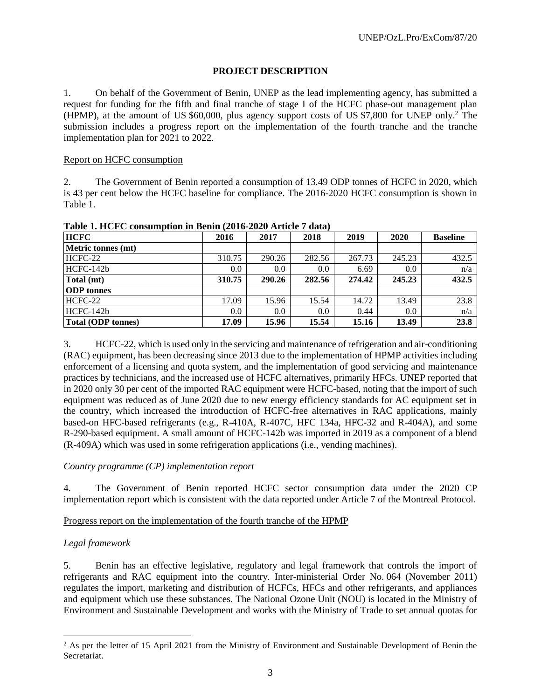# **PROJECT DESCRIPTION**

1. On behalf of the Government of Benin, UNEP as the lead implementing agency, has submitted a request for funding for the fifth and final tranche of stage I of the HCFC phase-out management plan (HPMP), at the amount of US \$60,000, plus agency support costs of US \$7,800 for UNEP only.<sup>2</sup> The submission includes a progress report on the implementation of the fourth tranche and the tranche implementation plan for 2021 to 2022.

#### Report on HCFC consumption

2. The Government of Benin reported a consumption of 13.49 ODP tonnes of HCFC in 2020, which is 43 per cent below the HCFC baseline for compliance. The 2016-2020 HCFC consumption is shown in Table 1.

| $\overline{\phantom{a}}$<br><b>HCFC</b> | 2016   | 2017   | 2018   | 2019   | 2020   | <b>Baseline</b> |
|-----------------------------------------|--------|--------|--------|--------|--------|-----------------|
| Metric tonnes (mt)                      |        |        |        |        |        |                 |
| HCFC-22                                 | 310.75 | 290.26 | 282.56 | 267.73 | 245.23 | 432.5           |
| HCFC-142b                               | 0.0    | 0.0    | 0.0    | 6.69   | 0.0    | n/a             |
| Total (mt)                              | 310.75 | 290.26 | 282.56 | 274.42 | 245.23 | 432.5           |
| <b>ODP</b> tonnes                       |        |        |        |        |        |                 |
| HCFC-22                                 | 17.09  | 15.96  | 15.54  | 14.72  | 13.49  | 23.8            |
| HCFC-142b                               | 0.0    | 0.0    | 0.0    | 0.44   | 0.0    | n/a             |
| <b>Total (ODP tonnes)</b>               | 17.09  | 15.96  | 15.54  | 15.16  | 13.49  | 23.8            |

**Table 1. HCFC consumption in Benin (2016-2020 Article 7 data)**

3. HCFC-22, which is used only in the servicing and maintenance of refrigeration and air-conditioning (RAC) equipment, has been decreasing since 2013 due to the implementation of HPMP activities including enforcement of a licensing and quota system, and the implementation of good servicing and maintenance practices by technicians, and the increased use of HCFC alternatives, primarily HFCs. UNEP reported that in 2020 only 30 per cent of the imported RAC equipment were HCFC-based, noting that the import of such equipment was reduced as of June 2020 due to new energy efficiency standards for AC equipment set in the country, which increased the introduction of HCFC-free alternatives in RAC applications, mainly based-on HFC-based refrigerants (e.g., R-410A, R-407C, HFC 134a, HFC-32 and R-404A), and some R-290-based equipment. A small amount of HCFC-142b was imported in 2019 as a component of a blend (R-409A) which was used in some refrigeration applications (i.e., vending machines).

#### *Country programme (CP) implementation report*

4. The Government of Benin reported HCFC sector consumption data under the 2020 CP implementation report which is consistent with the data reported under Article 7 of the Montreal Protocol.

#### Progress report on the implementation of the fourth tranche of the HPMP

# *Legal framework*

 $\overline{a}$ 

5. Benin has an effective legislative, regulatory and legal framework that controls the import of refrigerants and RAC equipment into the country. Inter-ministerial Order No. 064 (November 2011) regulates the import, marketing and distribution of HCFCs, HFCs and other refrigerants, and appliances and equipment which use these substances. The National Ozone Unit (NOU) is located in the Ministry of Environment and Sustainable Development and works with the Ministry of Trade to set annual quotas for

<sup>&</sup>lt;sup>2</sup> As per the letter of 15 April 2021 from the Ministry of Environment and Sustainable Development of Benin the Secretariat.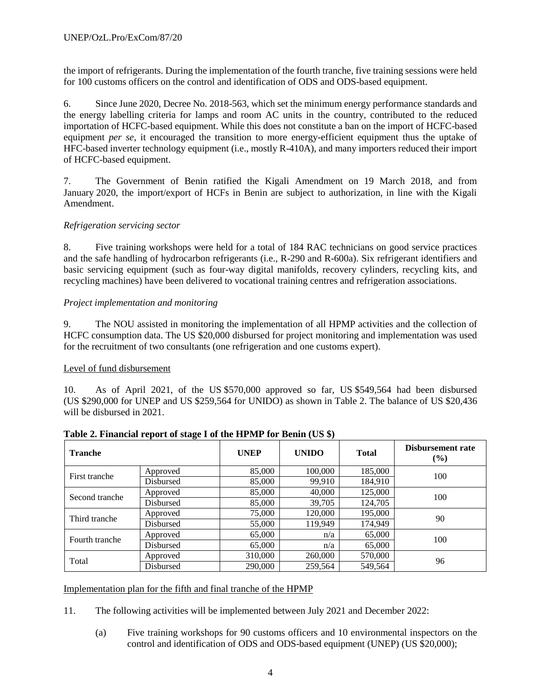the import of refrigerants. During the implementation of the fourth tranche, five training sessions were held for 100 customs officers on the control and identification of ODS and ODS-based equipment.

6. Since June 2020, Decree No. 2018-563, which set the minimum energy performance standards and the energy labelling criteria for lamps and room AC units in the country, contributed to the reduced importation of HCFC-based equipment. While this does not constitute a ban on the import of HCFC-based equipment *per se*, it encouraged the transition to more energy-efficient equipment thus the uptake of HFC-based inverter technology equipment (i.e., mostly R-410A), and many importers reduced their import of HCFC-based equipment.

7. The Government of Benin ratified the Kigali Amendment on 19 March 2018, and from January 2020, the import/export of HCFs in Benin are subject to authorization, in line with the Kigali Amendment.

# *Refrigeration servicing sector*

8. Five training workshops were held for a total of 184 RAC technicians on good service practices and the safe handling of hydrocarbon refrigerants (i.e., R-290 and R-600a). Six refrigerant identifiers and basic servicing equipment (such as four-way digital manifolds, recovery cylinders, recycling kits, and recycling machines) have been delivered to vocational training centres and refrigeration associations.

## *Project implementation and monitoring*

9. The NOU assisted in monitoring the implementation of all HPMP activities and the collection of HCFC consumption data. The US \$20,000 disbursed for project monitoring and implementation was used for the recruitment of two consultants (one refrigeration and one customs expert).

#### Level of fund disbursement

10. As of April 2021, of the US \$570,000 approved so far, US \$549,564 had been disbursed (US \$290,000 for UNEP and US \$259,564 for UNIDO) as shown in Table 2. The balance of US \$20,436 will be disbursed in 2021.

| <b>Tranche</b> |           | <b>UNEP</b> | <b>UNIDO</b> | <b>Total</b> | Disbursement rate<br>(%) |  |
|----------------|-----------|-------------|--------------|--------------|--------------------------|--|
| First tranche  | Approved  | 85,000      | 100,000      | 185,000      | 100                      |  |
|                | Disbursed | 85,000      | 99,910       | 184,910      |                          |  |
| Second tranche | Approved  | 85,000      | 40,000       | 125,000      | 100                      |  |
|                | Disbursed | 85,000      | 39,705       | 124,705      |                          |  |
| Third tranche  | Approved  | 75,000      | 120,000      | 195,000      | 90                       |  |
|                | Disbursed | 55,000      | 119,949      | 174,949      |                          |  |
| Fourth tranche | Approved  | 65,000      | n/a          | 65,000       | 100                      |  |
|                | Disbursed | 65,000      | n/a          | 65,000       |                          |  |
| Total          | Approved  | 310,000     | 260,000      | 570,000      | 96                       |  |
|                | Disbursed | 290,000     | 259,564      | 549,564      |                          |  |

# **Table 2. Financial report of stage I of the HPMP for Benin (US \$)**

#### Implementation plan for the fifth and final tranche of the HPMP

11. The following activities will be implemented between July 2021 and December 2022:

(a) Five training workshops for 90 customs officers and 10 environmental inspectors on the control and identification of ODS and ODS-based equipment (UNEP) (US \$20,000);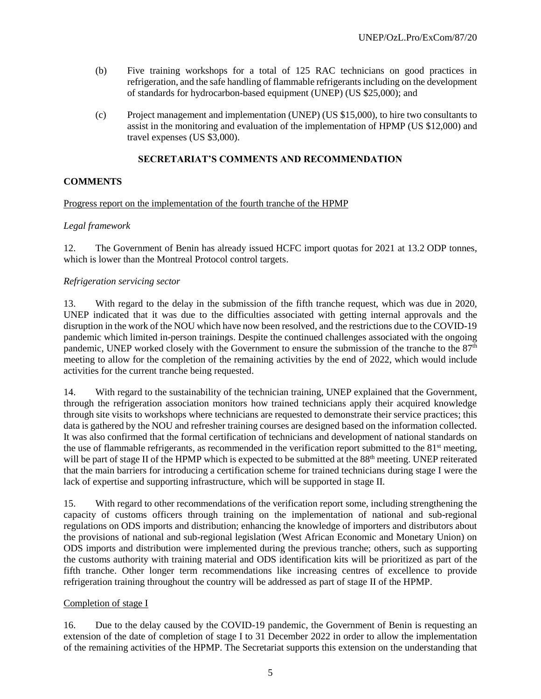- (b) Five training workshops for a total of 125 RAC technicians on good practices in refrigeration, and the safe handling of flammable refrigerants including on the development of standards for hydrocarbon-based equipment (UNEP) (US \$25,000); and
- (c) Project management and implementation (UNEP) (US \$15,000), to hire two consultants to assist in the monitoring and evaluation of the implementation of HPMP (US \$12,000) and travel expenses (US \$3,000).

## **SECRETARIAT'S COMMENTS AND RECOMMENDATION**

## **COMMENTS**

#### Progress report on the implementation of the fourth tranche of the HPMP

## *Legal framework*

12. The Government of Benin has already issued HCFC import quotas for 2021 at 13.2 ODP tonnes, which is lower than the Montreal Protocol control targets.

#### *Refrigeration servicing sector*

13. With regard to the delay in the submission of the fifth tranche request, which was due in 2020, UNEP indicated that it was due to the difficulties associated with getting internal approvals and the disruption in the work of the NOU which have now been resolved, and the restrictions due to the COVID-19 pandemic which limited in-person trainings. Despite the continued challenges associated with the ongoing pandemic, UNEP worked closely with the Government to ensure the submission of the tranche to the 87<sup>th</sup> meeting to allow for the completion of the remaining activities by the end of 2022, which would include activities for the current tranche being requested.

14. With regard to the sustainability of the technician training, UNEP explained that the Government, through the refrigeration association monitors how trained technicians apply their acquired knowledge through site visits to workshops where technicians are requested to demonstrate their service practices; this data is gathered by the NOU and refresher training courses are designed based on the information collected. It was also confirmed that the formal certification of technicians and development of national standards on the use of flammable refrigerants, as recommended in the verification report submitted to the  $81<sup>st</sup>$  meeting, will be part of stage II of the HPMP which is expected to be submitted at the 88<sup>th</sup> meeting. UNEP reiterated that the main barriers for introducing a certification scheme for trained technicians during stage I were the lack of expertise and supporting infrastructure, which will be supported in stage II.

15. With regard to other recommendations of the verification report some, including strengthening the capacity of customs officers through training on the implementation of national and sub-regional regulations on ODS imports and distribution; enhancing the knowledge of importers and distributors about the provisions of national and sub-regional legislation (West African Economic and Monetary Union) on ODS imports and distribution were implemented during the previous tranche; others, such as supporting the customs authority with training material and ODS identification kits will be prioritized as part of the fifth tranche. Other longer term recommendations like increasing centres of excellence to provide refrigeration training throughout the country will be addressed as part of stage II of the HPMP.

#### Completion of stage I

16. Due to the delay caused by the COVID-19 pandemic, the Government of Benin is requesting an extension of the date of completion of stage I to 31 December 2022 in order to allow the implementation of the remaining activities of the HPMP. The Secretariat supports this extension on the understanding that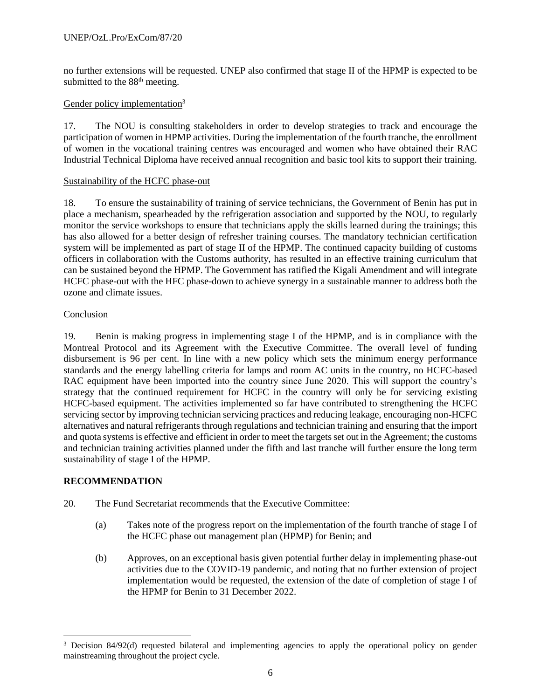no further extensions will be requested. UNEP also confirmed that stage II of the HPMP is expected to be submitted to the 88<sup>th</sup> meeting.

# Gender policy implementation<sup>3</sup>

17. The NOU is consulting stakeholders in order to develop strategies to track and encourage the participation of women in HPMP activities. During the implementation of the fourth tranche, the enrollment of women in the vocational training centres was encouraged and women who have obtained their RAC Industrial Technical Diploma have received annual recognition and basic tool kits to support their training.

#### Sustainability of the HCFC phase-out

18. To ensure the sustainability of training of service technicians, the Government of Benin has put in place a mechanism, spearheaded by the refrigeration association and supported by the NOU, to regularly monitor the service workshops to ensure that technicians apply the skills learned during the trainings; this has also allowed for a better design of refresher training courses. The mandatory technician certification system will be implemented as part of stage II of the HPMP. The continued capacity building of customs officers in collaboration with the Customs authority, has resulted in an effective training curriculum that can be sustained beyond the HPMP. The Government has ratified the Kigali Amendment and will integrate HCFC phase-out with the HFC phase-down to achieve synergy in a sustainable manner to address both the ozone and climate issues.

## Conclusion

19. Benin is making progress in implementing stage I of the HPMP, and is in compliance with the Montreal Protocol and its Agreement with the Executive Committee. The overall level of funding disbursement is 96 per cent. In line with a new policy which sets the minimum energy performance standards and the energy labelling criteria for lamps and room AC units in the country, no HCFC-based RAC equipment have been imported into the country since June 2020. This will support the country's strategy that the continued requirement for HCFC in the country will only be for servicing existing HCFC-based equipment. The activities implemented so far have contributed to strengthening the HCFC servicing sector by improving technician servicing practices and reducing leakage, encouraging non-HCFC alternatives and natural refrigerants through regulations and technician training and ensuring that the import and quota systems is effective and efficient in order to meet the targets set out in the Agreement; the customs and technician training activities planned under the fifth and last tranche will further ensure the long term sustainability of stage I of the HPMP.

# **RECOMMENDATION**

 $\overline{a}$ 

- 20. The Fund Secretariat recommends that the Executive Committee:
	- (a) Takes note of the progress report on the implementation of the fourth tranche of stage I of the HCFC phase out management plan (HPMP) for Benin; and
	- (b) Approves, on an exceptional basis given potential further delay in implementing phase-out activities due to the COVID-19 pandemic, and noting that no further extension of project implementation would be requested, the extension of the date of completion of stage I of the HPMP for Benin to 31 December 2022.

<sup>&</sup>lt;sup>3</sup> Decision 84/92(d) requested bilateral and implementing agencies to apply the operational policy on gender mainstreaming throughout the project cycle.